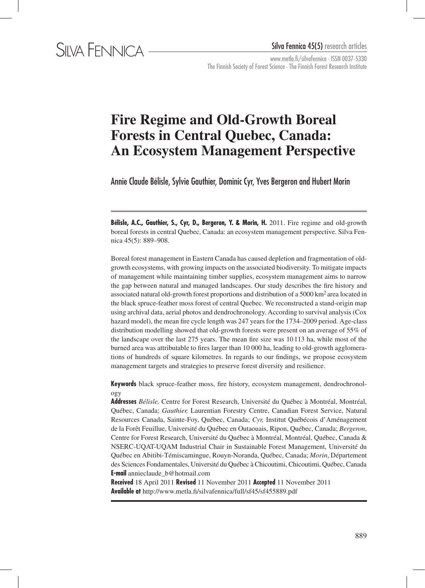www.metla.fi/silvafennica · ISSN 0037-5330 The Finnish Society of Forest Science · The Finnish Forest Research Institute

# **Fire Regime and Old-Growth Boreal Forests in Central Quebec, Canada: An Ecosystem Management Perspective**

Annie Claude Bélisle, Sylvie Gauthier, Dominic Cyr, Yves Bergeron and Hubert Morin

**Bélisle, A.C., Gauthier, S., Cyr, D., Bergeron, Y. & Morin, H.** 2011. Fire regime and old-growth boreal forests in central Quebec, Canada: an ecosystem management perspective. Silva Fennica 45(5): 889–908.

Boreal forest management in Eastern Canada has caused depletion and fragmentation of oldgrowth ecosystems, with growing impacts on the associated biodiversity. To mitigate impacts of management while maintaining timber supplies, ecosystem management aims to narrow the gap between natural and managed landscapes. Our study describes the fire history and associated natural old-growth forest proportions and distribution of a 5000 km2 area located in the black spruce-feather moss forest of central Quebec. We reconstructed a stand-origin map using archival data, aerial photos and dendrochronology. According to survival analysis (Cox hazard model), the mean fire cycle length was 247 years for the 1734–2009 period. Age-class distribution modelling showed that old-growth forests were present on an average of 55% of the landscape over the last 275 years. The mean fire size was 10113 ha, while most of the burned area was attributable to fires larger than 10 000 ha, leading to old-growth agglomerations of hundreds of square kilometres. In regards to our findings, we propose ecosystem management targets and strategies to preserve forest diversity and resilience.

**Keywords** black spruce-feather moss, fire history, ecosystem management, dendrochronology

**Addresses** *Bélisle,* Centre for Forest Research, Université du Québec à Montréal, Montréal, Québec, Canada; *Gauthier,* Laurentian Forestry Centre, Canadian Forest Service, Natural Resources Canada, Sainte-Foy, Québec, Canada; *Cyr,* Institut Québécois d'Aménagement de la Forêt Feuillue, Université du Québec en Outaouais, Ripon, Québec, Canada; *Bergeron*, Centre for Forest Research, Université du Québec à Montréal, Montréal, Québec, Canada & NSERC-UQAT-UQAM Industrial Chair in Sustainable Forest Management, Université du Québec en Abitibi-Témiscamingue, Rouyn-Noranda, Québec, Canada; *Morin*, Département des Sciences Fondamentales, Université du Québec à Chicoutimi, Chicoutimi, Québec, Canada **E-mail** annieclaude\_b@hotmail.com

**Received** 18 April 2011 **Revised** 11 November 2011 **Accepted** 11 November 2011 **Available at** http://www.metla.fi/silvafennica/full/sf45/sf455889.pdf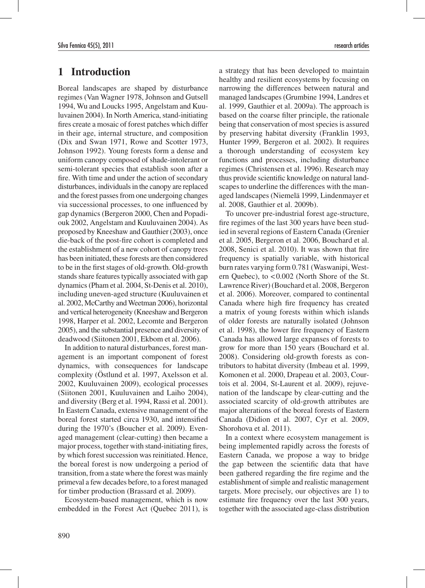# **1 Introduction**

Boreal landscapes are shaped by disturbance regimes (Van Wagner 1978, Johnson and Gutsell 1994, Wu and Loucks 1995, Angelstam and Kuuluvainen 2004). In North America, stand-initiating fires create a mosaic of forest patches which differ in their age, internal structure, and composition (Dix and Swan 1971, Rowe and Scotter 1973, Johnson 1992). Young forests form a dense and uniform canopy composed of shade-intolerant or semi-tolerant species that establish soon after a fire. With time and under the action of secondary disturbances, individuals in the canopy are replaced and the forest passes from one undergoing changes via successional processes, to one influenced by gap dynamics (Bergeron 2000, Chen and Popadiouk 2002, Angelstam and Kuuluvainen 2004). As proposed by Kneeshaw and Gauthier (2003), once die-back of the post-fire cohort is completed and the establishment of a new cohort of canopy trees has been initiated, these forests are then considered to be in the first stages of old-growth. Old-growth stands share features typically associated with gap dynamics (Pham et al. 2004, St-Denis et al. 2010), including uneven-aged structure (Kuuluvainen et al. 2002, McCarthy and Weetman 2006), horizontal and vertical heterogeneity (Kneeshaw and Bergeron 1998, Harper et al. 2002, Lecomte and Bergeron 2005), and the substantial presence and diversity of deadwood (Siitonen 2001, Ekbom et al. 2006).

In addition to natural disturbances, forest management is an important component of forest dynamics, with consequences for landscape complexity (Östlund et al. 1997, Axelsson et al. 2002, Kuuluvainen 2009), ecological processes (Siitonen 2001, Kuuluvainen and Laiho 2004), and diversity (Berg et al. 1994, Rassi et al. 2001). In Eastern Canada, extensive management of the boreal forest started circa 1930, and intensified during the 1970's (Boucher et al. 2009). Evenaged management (clear-cutting) then became a major process, together with stand-initiating fires, by which forest succession was reinitiated. Hence, the boreal forest is now undergoing a period of transition, from a state where the forest was mainly primeval a few decades before, to a forest managed for timber production (Brassard et al. 2009).

Ecosystem-based management, which is now embedded in the Forest Act (Quebec 2011), is a strategy that has been developed to maintain healthy and resilient ecosystems by focusing on narrowing the differences between natural and managed landscapes (Grumbine 1994, Landres et al. 1999, Gauthier et al. 2009a). The approach is based on the coarse filter principle, the rationale being that conservation of most species is assured by preserving habitat diversity (Franklin 1993, Hunter 1999, Bergeron et al. 2002). It requires a thorough understanding of ecosystem key functions and processes, including disturbance regimes (Christensen et al. 1996). Research may thus provide scientific knowledge on natural landscapes to underline the differences with the managed landscapes (Niemelä 1999, Lindenmayer et al. 2008, Gauthier et al. 2009b).

To uncover pre-industrial forest age-structure, fire regimes of the last 300 years have been studied in several regions of Eastern Canada (Grenier et al. 2005, Bergeron et al. 2006, Bouchard et al. 2008, Senici et al. 2010). It was shown that fire frequency is spatially variable, with historical burn rates varying form 0.781 (Waswanipi, Western Quebec), to <0.002 (North Shore of the St. Lawrence River) (Bouchard et al. 2008, Bergeron et al. 2006). Moreover, compared to continental Canada where high fire frequency has created a matrix of young forests within which islands of older forests are naturally isolated (Johnson et al. 1998), the lower fire frequency of Eastern Canada has allowed large expanses of forests to grow for more than 150 years (Bouchard et al. 2008). Considering old-growth forests as contributors to habitat diversity (Imbeau et al. 1999, Komonen et al. 2000, Drapeau et al. 2003, Courtois et al. 2004, St-Laurent et al. 2009), rejuvenation of the landscape by clear-cutting and the associated scarcity of old-growth attributes are major alterations of the boreal forests of Eastern Canada (Didion et al. 2007, Cyr et al. 2009, Shorohova et al. 2011).

In a context where ecosystem management is being implemented rapidly across the forests of Eastern Canada, we propose a way to bridge the gap between the scientific data that have been gathered regarding the fire regime and the establishment of simple and realistic management targets. More precisely, our objectives are 1) to estimate fire frequency over the last 300 years, together with the associated age-class distribution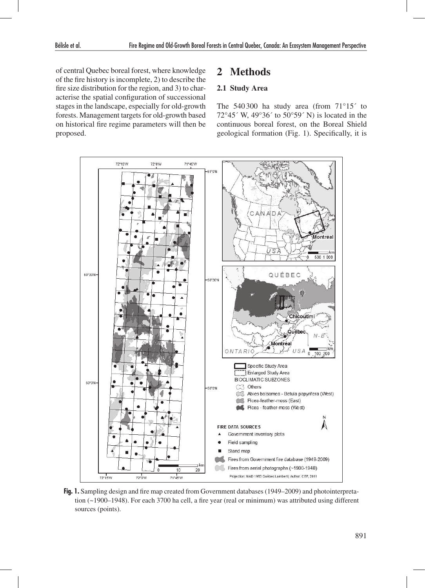of central Quebec boreal forest, where knowledge of the fire history is incomplete, 2) to describe the fire size distribution for the region, and 3) to characterise the spatial configuration of successional stages in the landscape, especially for old-growth forests. Management targets for old-growth based on historical fire regime parameters will then be proposed.

# **2 Methods**

### **2.1 Study Area**

The 540300 ha study area (from 71°15´ to 72°45´ W, 49°36´ to 50°59´ N) is located in the continuous boreal forest, on the Boreal Shield geological formation (Fig. 1). Specifically, it is



**Fig. 1.** Sampling design and fire map created from Government databases (1949–2009) and photointerpretation (~1900–1948). For each 3700 ha cell, a fire year (real or minimum) was attributed using different sources (points).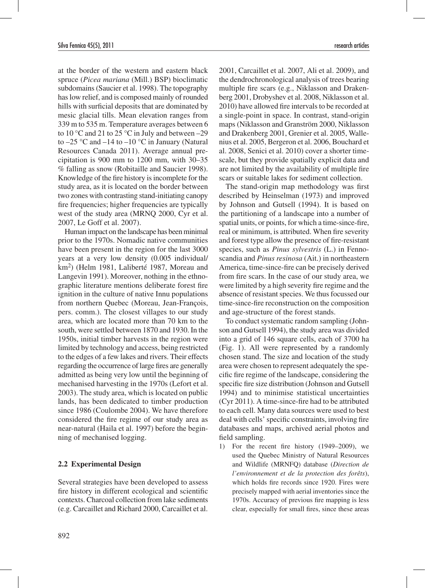at the border of the western and eastern black spruce (*Picea mariana* (Mill.) BSP) bioclimatic subdomains (Saucier et al. 1998). The topography has low relief, and is composed mainly of rounded hills with surficial deposits that are dominated by mesic glacial tills. Mean elevation ranges from 339 m to 535 m. Temperature averages between 6 to 10 °C and 21 to 25 °C in July and between  $-29$ to  $-25$  °C and  $-14$  to  $-10$  °C in January (Natural Resources Canada 2011). Average annual precipitation is 900 mm to 1200 mm, with 30–35 % falling as snow (Robitaille and Saucier 1998). Knowledge of the fire history is incomplete for the study area, as it is located on the border between two zones with contrasting stand-initiating canopy fire frequencies; higher frequencies are typically west of the study area (MRNQ 2000, Cyr et al. 2007, Le Goff et al. 2007).

Human impact on the landscape has been minimal prior to the 1970s. Nomadic native communities have been present in the region for the last 3000 years at a very low density (0.005 individual/ km2) (Helm 1981, Laliberté 1987, Moreau and Langevin 1991). Moreover, nothing in the ethnographic literature mentions deliberate forest fire ignition in the culture of native Innu populations from northern Quebec (Moreau, Jean-François, pers. comm.). The closest villages to our study area, which are located more than 70 km to the south, were settled between 1870 and 1930. In the 1950s, initial timber harvests in the region were limited by technology and access, being restricted to the edges of a few lakes and rivers. Their effects regarding the occurrence of large fires are generally admitted as being very low until the beginning of mechanised harvesting in the 1970s (Lefort et al. 2003). The study area, which is located on public lands, has been dedicated to timber production since 1986 (Coulombe 2004). We have therefore considered the fire regime of our study area as near-natural (Haila et al. 1997) before the beginning of mechanised logging.

#### **2.2 Experimental Design**

Several strategies have been developed to assess fire history in different ecological and scientific contexts. Charcoal collection from lake sediments (e.g. Carcaillet and Richard 2000, Carcaillet et al.

2001, Carcaillet et al. 2007, Ali et al. 2009), and the dendrochronological analysis of trees bearing multiple fire scars (e.g., Niklasson and Drakenberg 2001, Drobyshev et al. 2008, Niklasson et al. 2010) have allowed fire intervals to be recorded at a single-point in space. In contrast, stand-origin maps (Niklasson and Granström 2000, Niklasson and Drakenberg 2001, Grenier et al. 2005, Wallenius et al. 2005, Bergeron et al. 2006, Bouchard et al. 2008, Senici et al. 2010) cover a shorter timescale, but they provide spatially explicit data and are not limited by the availability of multiple fire scars or suitable lakes for sediment collection.

The stand-origin map methodology was first described by Heinselman (1973) and improved by Johnson and Gutsell (1994). It is based on the partitioning of a landscape into a number of spatial units, or points, for which a time-since-fire, real or minimum, is attributed. When fire severity and forest type allow the presence of fire-resistant species, such as *Pinus sylvestris* (L.) in Fennoscandia and *Pinus resinosa* (Ait.) in northeastern America, time-since-fire can be precisely derived from fire scars. In the case of our study area, we were limited by a high severity fire regime and the absence of resistant species. We thus focussed our time-since-fire reconstruction on the composition and age-structure of the forest stands.

To conduct systematic random sampling (Johnson and Gutsell 1994), the study area was divided into a grid of 146 square cells, each of 3700 ha (Fig. 1). All were represented by a randomly chosen stand. The size and location of the study area were chosen to represent adequately the specific fire regime of the landscape, considering the specific fire size distribution (Johnson and Gutsell 1994) and to minimise statistical uncertainties (Cyr 2011). A time-since-fire had to be attributed to each cell. Many data sources were used to best deal with cells' specific constraints, involving fire databases and maps, archived aerial photos and field sampling.

1) For the recent fire history (1949–2009), we used the Quebec Ministry of Natural Resources and Wildlife (MRNFQ) database (*Direction de l'environnement et de la protection des forêts*), which holds fire records since 1920. Fires were precisely mapped with aerial inventories since the 1970s. Accuracy of previous fire mapping is less clear, especially for small fires, since these areas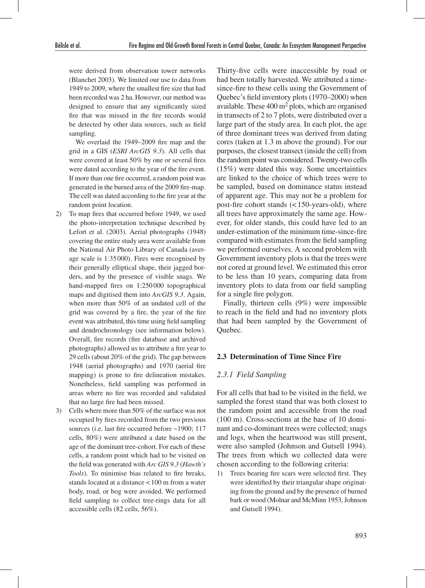were derived from observation tower networks (Blanchet 2003). We limited our use to data from 1949 to 2009, where the smallest fire size that had been recorded was 2 ha. However, our method was designed to ensure that any significantly sized fire that was missed in the fire records would be detected by other data sources, such as field sampling.

We overlaid the 1949–2009 fire map and the grid in a GIS (*ESRI ArcGIS 9.3*). All cells that were covered at least 50% by one or several fires were dated according to the year of the fire event. If more than one fire occurred, a random point was generated in the burned area of the 2009 fire-map. The cell was dated according to the fire year at the random point location.

- 2) To map fires that occurred before 1949, we used the photo-interpretation technique described by Lefort et al. (2003). Aerial photographs (1948) covering the entire study area were available from the National Air Photo Library of Canada (average scale is 1:35 000). Fires were recognised by their generally elliptical shape, their jagged borders, and by the presence of visible snags. We hand-mapped fires on 1:250 000 topographical maps and digitised them into *ArcGIS 9.3*. Again, when more than 50% of an undated cell of the grid was covered by a fire, the year of the fire event was attributed, this time using field sampling and dendrochronology (see information below). Overall, fire records (fire database and archived photographs) allowed us to attribute a fire year to 29 cells (about 20% of the grid). The gap between 1948 (aerial photographs) and 1970 (aerial fire mapping) is prone to fire delineation mistakes. Nonetheless, field sampling was performed in areas where no fire was recorded and validated that no large fire had been missed.
- 3) Cells where more than 50% of the surface was not occupied by fires recorded from the two previous sources (i.e. last fire occurred before ~1900; 117 cells, 80%) were attributed a date based on the age of the dominant tree-cohort. For each of these cells, a random point which had to be visited on the field was generated with *Arc GIS 9.3* (*Hawth's Tools*). To minimise bias related to fire breaks, stands located at a distance <100 m from a water body, road, or bog were avoided. We performed field sampling to collect tree-rings data for all accessible cells (82 cells, 56%).

Thirty-five cells were inaccessible by road or had been totally harvested. We attributed a timesince-fire to these cells using the Government of Quebec's field inventory plots (1970–2000) when available. These  $400 \text{ m}^2$  plots, which are organised in transects of 2 to 7 plots, were distributed over a large part of the study area. In each plot, the age of three dominant trees was derived from dating cores (taken at 1.3 m above the ground). For our purposes, the closest transect (inside the cell) from the random point was considered. Twenty-two cells (15%) were dated this way. Some uncertainties are linked to the choice of which trees were to be sampled, based on dominance status instead of apparent age. This may not be a problem for post-fire cohort stands (<150-years-old), where all trees have approximately the same age. However, for older stands, this could have led to an under-estimation of the minimum time-since-fire compared with estimates from the field sampling we performed ourselves. A second problem with Government inventory plots is that the trees were not cored at ground level. We estimated this error to be less than 10 years, comparing data from inventory plots to data from our field sampling for a single fire polygon.

Finally, thirteen cells (9%) were impossible to reach in the field and had no inventory plots that had been sampled by the Government of Quebec.

#### **2.3 Determination of Time Since Fire**

## *2.3.1 Field Sampling*

For all cells that had to be visited in the field, we sampled the forest stand that was both closest to the random point and accessible from the road (100 m). Cross-sections at the base of 10 dominant and co-dominant trees were collected; snags and logs, when the heartwood was still present, were also sampled (Johnson and Gutsell 1994). The trees from which we collected data were chosen according to the following criteria:

1) Trees bearing fire scars were selected first. They were identified by their triangular shape originating from the ground and by the presence of burned bark or wood (Molnar and McMinn 1953, Johnson and Gutsell 1994).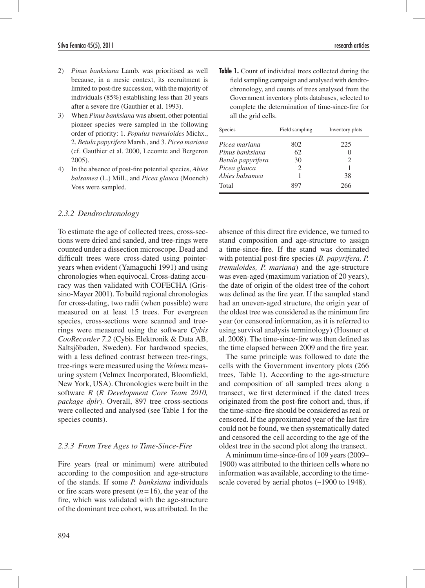- 2) *Pinus banksiana* Lamb. was prioritised as well because, in a mesic context, its recruitment is limited to post-fire succession, with the majority of individuals (85%) establishing less than 20 years after a severe fire (Gauthier et al. 1993).
- 3) When *Pinus banksiana* was absent, other potential pioneer species were sampled in the following order of priority: 1. *Populus tremuloides* Michx., 2. *Betula papyrifera* Marsh., and 3. *Picea mariana* (cf. Gauthier et al. 2000, Lecomte and Bergeron 2005).
- 4) In the absence of post-fire potential species, *Abies balsamea* (L.) Mill., and *Picea glauca* (Moench) Voss were sampled.

### *2.3.2 Dendrochronology*

To estimate the age of collected trees, cross-sections were dried and sanded, and tree-rings were counted under a dissection microscope. Dead and difficult trees were cross-dated using pointeryears when evident (Yamaguchi 1991) and using chronologies when equivocal. Cross-dating accuracy was then validated with COFECHA (Grissino-Mayer 2001). To build regional chronologies for cross-dating, two radii (when possible) were measured on at least 15 trees. For evergreen species, cross-sections were scanned and treerings were measured using the software *Cybis CooRecorder 7.2* (Cybis Elektronik & Data AB, Saltsjöbaden, Sweden). For hardwood species, with a less defined contrast between tree-rings, tree-rings were measured using the *Velmex* measuring system (Velmex Incorporated, Bloomfield, New York, USA). Chronologies were built in the software *R* (*R Development Core Team 2010, package dplr*). Overall, 897 tree cross-sections were collected and analysed (see Table 1 for the species counts).

#### *2.3.3 From Tree Ages to Time-Since-Fire*

Fire years (real or minimum) were attributed according to the composition and age-structure of the stands. If some *P. banksiana* individuals or fire scars were present  $(n=16)$ , the year of the fire, which was validated with the age-structure of the dominant tree cohort, was attributed. In the

**Table 1.** Count of individual trees collected during the field sampling campaign and analysed with dendrochronology, and counts of trees analysed from the Government inventory plots databases, selected to complete the determination of time-since-fire for all the grid cells.

| Species           | Field sampling | Inventory plots |
|-------------------|----------------|-----------------|
| Picea mariana     | 802            | 225             |
| Pinus banksiana   | 62             |                 |
| Betula papyrifera | 30             | 2               |
| Picea glauca      |                |                 |
| Abies balsamea    |                | 38              |
| Total             |                | 266             |

absence of this direct fire evidence, we turned to stand composition and age-structure to assign a time-since-fire. If the stand was dominated with potential post-fire species (*B. papyrifera, P. tremuloides, P. mariana*) and the age-structure was even-aged (maximum variation of 20 years), the date of origin of the oldest tree of the cohort was defined as the fire year. If the sampled stand had an uneven-aged structure, the origin year of the oldest tree was considered as the minimum fire year (or censored information, as it is referred to using survival analysis terminology) (Hosmer et al. 2008). The time-since-fire was then defined as the time elapsed between 2009 and the fire year.

The same principle was followed to date the cells with the Government inventory plots (266 trees, Table 1). According to the age-structure and composition of all sampled trees along a transect, we first determined if the dated trees originated from the post-fire cohort and, thus, if the time-since-fire should be considered as real or censored. If the approximated year of the last fire could not be found, we then systematically dated and censored the cell according to the age of the oldest tree in the second plot along the transect.

A minimum time-since-fire of 109 years (2009– 1900) was attributed to the thirteen cells where no information was available, according to the timescale covered by aerial photos (~1900 to 1948).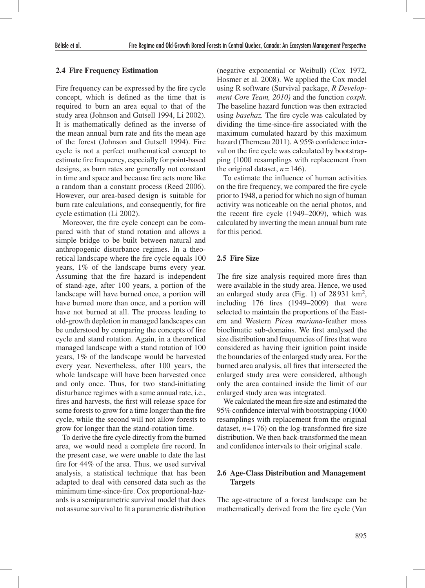### **2.4 Fire Frequency Estimation**

Fire frequency can be expressed by the fire cycle concept, which is defined as the time that is required to burn an area equal to that of the study area (Johnson and Gutsell 1994, Li 2002). It is mathematically defined as the inverse of the mean annual burn rate and fits the mean age of the forest (Johnson and Gutsell 1994). Fire cycle is not a perfect mathematical concept to estimate fire frequency, especially for point-based designs, as burn rates are generally not constant in time and space and because fire acts more like a random than a constant process (Reed 2006). However, our area-based design is suitable for burn rate calculations, and consequently, for fire cycle estimation (Li 2002).

Moreover, the fire cycle concept can be compared with that of stand rotation and allows a simple bridge to be built between natural and anthropogenic disturbance regimes. In a theoretical landscape where the fire cycle equals 100 years, 1% of the landscape burns every year. Assuming that the fire hazard is independent of stand-age, after 100 years, a portion of the landscape will have burned once, a portion will have burned more than once, and a portion will have not burned at all. The process leading to old-growth depletion in managed landscapes can be understood by comparing the concepts of fire cycle and stand rotation. Again, in a theoretical managed landscape with a stand rotation of 100 years, 1% of the landscape would be harvested every year. Nevertheless, after 100 years, the whole landscape will have been harvested once and only once. Thus, for two stand-initiating disturbance regimes with a same annual rate, i.e., fires and harvests, the first will release space for some forests to grow for a time longer than the fire cycle, while the second will not allow forests to grow for longer than the stand-rotation time.

To derive the fire cycle directly from the burned area, we would need a complete fire record. In the present case, we were unable to date the last fire for 44% of the area. Thus, we used survival analysis, a statistical technique that has been adapted to deal with censored data such as the minimum time-since-fire. Cox proportional-hazards is a semiparametric survival model that does not assume survival to fit a parametric distribution (negative exponential or Weibull) (Cox 1972, Hosmer et al. 2008). We applied the Cox model using R software (Survival package, *R Development Core Team, 2010)* and the function *coxph.*  The baseline hazard function was then extracted using *basehaz.* The fire cycle was calculated by dividing the time-since-fire associated with the maximum cumulated hazard by this maximum hazard (Therneau 2011). A 95% confidence interval on the fire cycle was calculated by bootstrapping (1000 resamplings with replacement from the original dataset,  $n = 146$ ).

To estimate the influence of human activities on the fire frequency, we compared the fire cycle prior to 1948, a period for which no sign of human activity was noticeable on the aerial photos, and the recent fire cycle (1949–2009), which was calculated by inverting the mean annual burn rate for this period.

#### **2.5 Fire Size**

The fire size analysis required more fires than were available in the study area. Hence, we used an enlarged study area (Fig. 1) of 28 931 km2, including 176 fires (1949–2009) that were selected to maintain the proportions of the Eastern and Western *Picea mariana*-feather moss bioclimatic sub-domains. We first analysed the size distribution and frequencies of fires that were considered as having their ignition point inside the boundaries of the enlarged study area. For the burned area analysis, all fires that intersected the enlarged study area were considered, although only the area contained inside the limit of our enlarged study area was integrated.

We calculated the mean fire size and estimated the 95% confidence interval with bootstrapping (1000 resamplings with replacement from the original dataset,  $n = 176$ ) on the log-transformed fire size distribution. We then back-transformed the mean and confidence intervals to their original scale.

# **2.6 Age-Class Distribution and Management Targets**

The age-structure of a forest landscape can be mathematically derived from the fire cycle (Van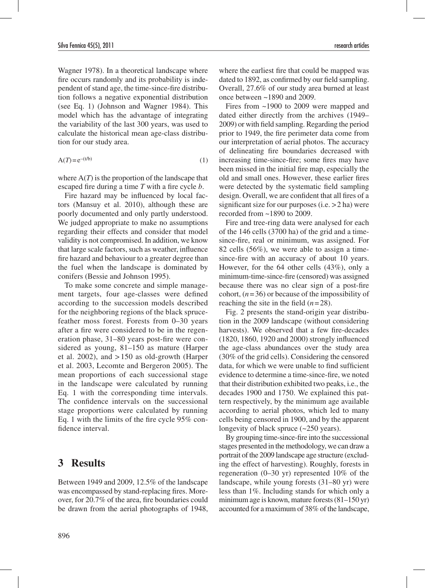Wagner 1978). In a theoretical landscape where fire occurs randomly and its probability is independent of stand age, the time-since-fire distribution follows a negative exponential distribution (see Eq. 1) (Johnson and Wagner 1984). This model which has the advantage of integrating the variability of the last 300 years, was used to calculate the historical mean age-class distribution for our study area.

$$
A(T) = e^{-(t/b)}\tag{1}
$$

where  $A(T)$  is the proportion of the landscape that escaped fire during a time *T* with a fire cycle *b*.

Fire hazard may be influenced by local factors (Mansuy et al. 2010), although these are poorly documented and only partly understood. We judged appropriate to make no assumptions regarding their effects and consider that model validity is not compromised. In addition, we know that large scale factors, such as weather, influence fire hazard and behaviour to a greater degree than the fuel when the landscape is dominated by conifers (Bessie and Johnson 1995).

To make some concrete and simple management targets, four age-classes were defined according to the succession models described for the neighboring regions of the black sprucefeather moss forest. Forests from 0–30 years after a fire were considered to be in the regeneration phase, 31–80 years post-fire were considered as young, 81–150 as mature (Harper et al. 2002), and > 150 as old-growth (Harper et al. 2003, Lecomte and Bergeron 2005). The mean proportions of each successional stage in the landscape were calculated by running Eq. 1 with the corresponding time intervals. The confidence intervals on the successional stage proportions were calculated by running Eq. 1 with the limits of the fire cycle 95% confidence interval.

# **3 Results**

Between 1949 and 2009, 12.5% of the landscape was encompassed by stand-replacing fires. Moreover, for 20.7% of the area, fire boundaries could be drawn from the aerial photographs of 1948,

where the earliest fire that could be mapped was dated to 1892, as confirmed by our field sampling. Overall, 27.6% of our study area burned at least once between ~1890 and 2009.

Fires from ~1900 to 2009 were mapped and dated either directly from the archives (1949– 2009) or with field sampling. Regarding the period prior to 1949, the fire perimeter data come from our interpretation of aerial photos. The accuracy of delineating fire boundaries decreased with increasing time-since-fire; some fires may have been missed in the initial fire map, especially the old and small ones. However, these earlier fires were detected by the systematic field sampling design. Overall, we are confident that all fires of a significant size for our purposes (i.e. >2 ha) were recorded from ~1890 to 2009.

Fire and tree-ring data were analysed for each of the 146 cells (3700 ha) of the grid and a timesince-fire, real or minimum, was assigned. For 82 cells (56%), we were able to assign a timesince-fire with an accuracy of about 10 years. However, for the 64 other cells (43%), only a minimum-time-since-fire (censored) was assigned because there was no clear sign of a post-fire cohort,  $(n=36)$  or because of the impossibility of reaching the site in the field  $(n=28)$ .

Fig. 2 presents the stand-origin year distribution in the 2009 landscape (without considering harvests). We observed that a few fire-decades (1820, 1860, 1920 and 2000) strongly influenced the age-class abundances over the study area (30% of the grid cells). Considering the censored data, for which we were unable to find sufficient evidence to determine a time-since-fire, we noted that their distribution exhibited two peaks, i.e., the decades 1900 and 1750. We explained this pattern respectively, by the minimum age available according to aerial photos, which led to many cells being censored in 1900, and by the apparent longevity of black spruce (~250 years).

By grouping time-since-fire into the successional stages presented in the methodology, we can draw a portrait of the 2009 landscape age structure (excluding the effect of harvesting). Roughly, forests in regeneration (0–30 yr) represented 10% of the landscape, while young forests (31–80 yr) were less than 1%. Including stands for which only a minimum age is known, mature forests (81–150 yr) accounted for a maximum of 38% of the landscape,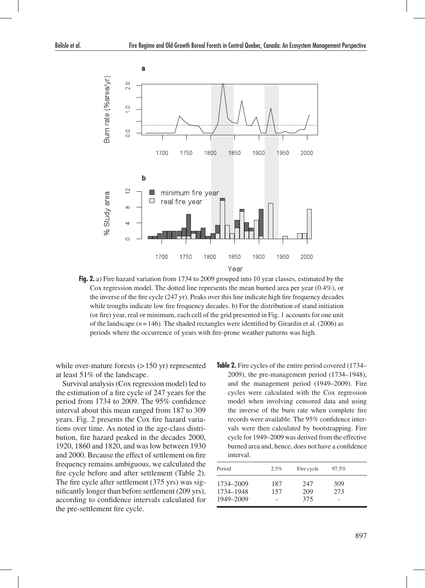

**Fig. 2.** a) Fire hazard variation from 1734 to 2009 grouped into 10 year classes, estimated by the Cox regression model. The dotted line represents the mean burned area per year (0.4%), or the inverse of the fire cycle (247 yr). Peaks over this line indicate high fire frequency decades while troughs indicate low fire frequency decades. b) For the distribution of stand initiation (or fire) year, real or minimum, each cell of the grid presented in Fig. 1 accounts for one unit of the landscape  $(n=146)$ . The shaded rectangles were identified by Girardin et al. (2006) as periods where the occurrence of years with fire-prone weather patterns was high.

while over-mature forests  $(>150 \text{ yr})$  represented at least 51% of the landscape.

Survival analysis (Cox regression model) led to the estimation of a fire cycle of 247 years for the period from 1734 to 2009. The 95% confidence interval about this mean ranged from 187 to 309 years. Fig. 2 presents the Cox fire hazard variations over time. As noted in the age-class distribution, fire hazard peaked in the decades 2000, 1920, 1860 and 1820, and was low between 1930 and 2000. Because the effect of settlement on fire frequency remains ambiguous, we calculated the fire cycle before and after settlement (Table 2). The fire cycle after settlement (375 yrs) was significantly longer than before settlement (209 yrs), according to confidence intervals calculated for the pre-settlement fire cycle.

**Table 2.** Fire cycles of the entire period covered (1734– 2009), the pre-management period (1734–1948), and the management period (1949–2009). Fire cycles were calculated with the Cox regression model when involving censored data and using the inverse of the burn rate when complete fire records were available. The 95% confidence intervals were then calculated by bootstrapping. Fire cycle for 1949–2009 was derived from the effective burned area and, hence, does not have a confidence interval.

| Period                              | 2.5%       | Fire cycle        | 97.5%      |  |
|-------------------------------------|------------|-------------------|------------|--|
| 1734-2009<br>1734-1948<br>1949-2009 | 187<br>157 | 247<br>209<br>375 | 309<br>273 |  |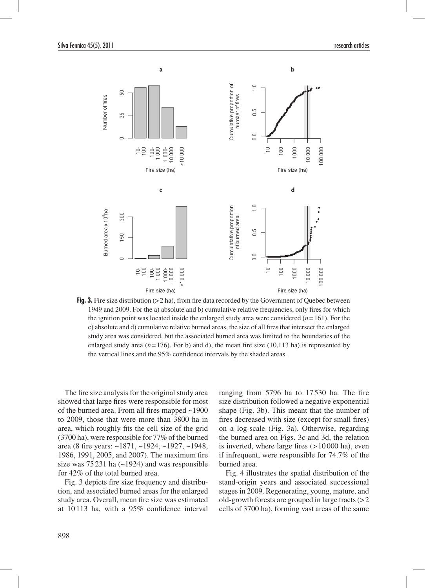

**Fig. 3.** Fire size distribution (>2 ha), from fire data recorded by the Government of Quebec between 1949 and 2009. For the a) absolute and b) cumulative relative frequencies, only fires for which the ignition point was located inside the enlarged study area were considered (*n*=161). For the c) absolute and d) cumulative relative burned areas, the size of all fires that intersect the enlarged study area was considered, but the associated burned area was limited to the boundaries of the enlarged study area  $(n=176)$ . For b) and d), the mean fire size  $(10,113 \text{ ha})$  is represented by the vertical lines and the 95% confidence intervals by the shaded areas.

The fire size analysis for the original study area showed that large fires were responsible for most of the burned area. From all fires mapped ~1900 to 2009, those that were more than 3800 ha in area, which roughly fits the cell size of the grid (3700 ha), were responsible for 77% of the burned area (8 fire years: ~1871, ~1924, ~1927, ~1948, 1986, 1991, 2005, and 2007). The maximum fire size was 75 231 ha (~1924) and was responsible for 42% of the total burned area.

Fig. 3 depicts fire size frequency and distribution, and associated burned areas for the enlarged study area. Overall, mean fire size was estimated at 10113 ha, with a 95% confidence interval ranging from 5796 ha to 17530 ha. The fire size distribution followed a negative exponential shape (Fig. 3b). This meant that the number of fires decreased with size (except for small fires) on a log-scale (Fig. 3a). Otherwise, regarding the burned area on Figs. 3c and 3d, the relation is inverted, where large fires  $(>10000$  ha), even if infrequent, were responsible for 74.7% of the burned area.

Fig. 4 illustrates the spatial distribution of the stand-origin years and associated successional stages in 2009. Regenerating, young, mature, and old-growth forests are grouped in large tracts  $(>2$ cells of 3700 ha), forming vast areas of the same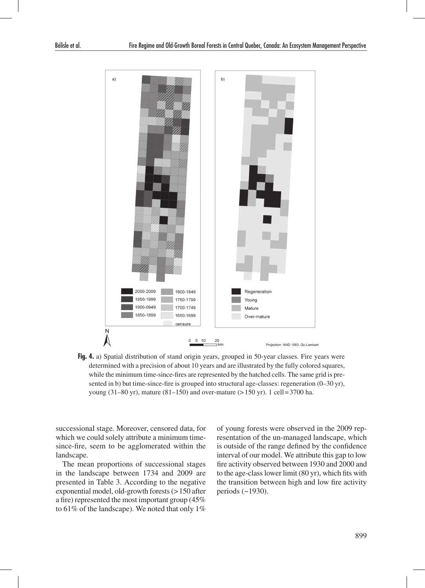

**Fig. 4.** a) Spatial distribution of stand origin years, grouped in 50-year classes. Fire years were determined with a precision of about 10 years and are illustrated by the fully colored squares, while the minimum time-since-fires are represented by the hatched cells. The same grid is presented in b) but time-since-fire is grouped into structural age-classes: regeneration (0–30 yr), young (31–80 yr), mature (81–150) and over-mature ( $> 150$  yr). 1 cell=3700 ha.

successional stage. Moreover, censored data, for which we could solely attribute a minimum timesince-fire, seem to be agglomerated within the landscape.

The mean proportions of successional stages in the landscape between 1734 and 2009 are presented in Table 3. According to the negative exponential model, old-growth forests (>150 after a fire) represented the most important group (45% to  $61\%$  of the landscape). We noted that only  $1\%$ 

of young forests were observed in the 2009 representation of the un-managed landscape, which is outside of the range defined by the confidence interval of our model. We attribute this gap to low fire activity observed between 1930 and 2000 and to the age-class lower limit (80 yr), which fits with the transition between high and low fire activity periods (~1930).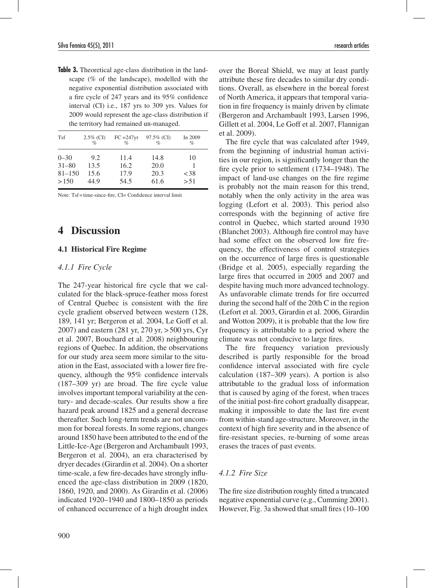**Table 3.** Theoretical age-class distribution in the landscape (% of the landscape), modelled with the negative exponential distribution associated with a fire cycle of 247 years and its 95% confidence interval (CI) i.e., 187 yrs to 309 yrs. Values for 2009 would represent the age-class distribution if the territory had remained un-managed.

| Tsf        | $2.5\%$ (CI)<br>$\mathcal{O}_0$ | $FC = 247yr$<br>$\mathcal{O}_0$ | 97.5% (CI)<br>$\mathcal{O}_\mathcal{D}$ | In 2009<br>$\%$ |
|------------|---------------------------------|---------------------------------|-----------------------------------------|-----------------|
| $0 - 30$   | 9.2                             | 11.4                            | 14.8                                    | 10              |
| $31 - 80$  | 13.5                            | 16.2                            | 20.0                                    |                 |
| $81 - 150$ | 15.6                            | 17.9                            | 20.3                                    | ${<}38$         |
| >150       | 44.9                            | 54.5                            | 61.6                                    | > 51            |

Note: Tsf=time-since-fire, CI= Confidence interval limit

# **4 Discussion**

## **4.1 Historical Fire Regime**

## *4.1.1 Fire Cycle*

The 247-year historical fire cycle that we calculated for the black-spruce-feather moss forest of Central Quebec is consistent with the fire cycle gradient observed between western (128, 189, 141 yr; Bergeron et al. 2004, Le Goff et al. 2007) and eastern (281 yr, 270 yr, >500 yrs, Cyr et al. 2007, Bouchard et al. 2008) neighbouring regions of Quebec. In addition, the observations for our study area seem more similar to the situation in the East, associated with a lower fire frequency, although the 95% confidence intervals (187–309 yr) are broad. The fire cycle value involves important temporal variability at the century- and decade-scales. Our results show a fire hazard peak around 1825 and a general decrease thereafter. Such long-term trends are not uncommon for boreal forests. In some regions, changes around 1850 have been attributed to the end of the Little-Ice-Age (Bergeron and Archambault 1993, Bergeron et al. 2004), an era characterised by dryer decades (Girardin et al. 2004). On a shorter time-scale, a few fire-decades have strongly influenced the age-class distribution in 2009 (1820, 1860, 1920, and 2000). As Girardin et al. (2006) indicated 1920–1940 and 1800–1850 as periods of enhanced occurrence of a high drought index

900

over the Boreal Shield, we may at least partly attribute these fire decades to similar dry conditions. Overall, as elsewhere in the boreal forest of North America, it appears that temporal variation in fire frequency is mainly driven by climate (Bergeron and Archambault 1993, Larsen 1996, Gillett et al. 2004, Le Goff et al. 2007, Flannigan et al. 2009).

The fire cycle that was calculated after 1949, from the beginning of industrial human activities in our region, is significantly longer than the fire cycle prior to settlement (1734–1948). The impact of land-use changes on the fire regime is probably not the main reason for this trend, notably when the only activity in the area was logging (Lefort et al. 2003). This period also corresponds with the beginning of active fire control in Quebec, which started around 1930 (Blanchet 2003). Although fire control may have had some effect on the observed low fire frequency, the effectiveness of control strategies on the occurrence of large fires is questionable (Bridge et al. 2005), especially regarding the large fires that occurred in 2005 and 2007 and despite having much more advanced technology. As unfavorable climate trends for fire occurred during the second half of the 20th C in the region (Lefort et al. 2003, Girardin et al. 2006, Girardin and Wotton 2009), it is probable that the low fire frequency is attributable to a period where the climate was not conducive to large fires.

The fire frequency variation previously described is partly responsible for the broad confidence interval associated with fire cycle calculation (187–309 years). A portion is also attributable to the gradual loss of information that is caused by aging of the forest, when traces of the initial post-fire cohort gradually disappear, making it impossible to date the last fire event from within-stand age-structure. Moreover, in the context of high fire severity and in the absence of fire-resistant species, re-burning of some areas erases the traces of past events.

### *4.1.2 Fire Size*

The fire size distribution roughly fitted a truncated negative exponential curve (e.g., Cumming 2001). However, Fig. 3a showed that small fires (10–100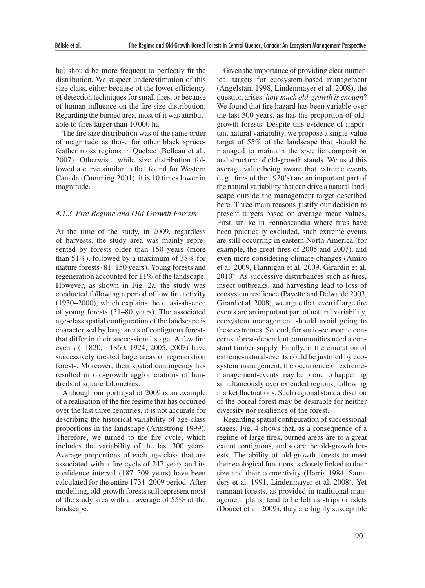ha) should be more frequent to perfectly fit the distribution. We suspect underestimation of this size class, either because of the lower efficiency of detection techniques for small fires, or because of human influence on the fire size distribution. Regarding the burned area, most of it was attributable to fires larger than 10 000 ha.

The fire size distribution was of the same order of magnitude as those for other black sprucefeather moss regions in Quebec (Belleau et al., 2007). Otherwise, while size distribution followed a curve similar to that found for Western Canada (Cumming 2001), it is 10 times lower in magnitude.

#### *4.1.3 Fire Regime and Old-Growth Forests*

At the time of the study, in 2009, regardless of harvests, the study area was mainly represented by forests older than 150 years (more than 51%), followed by a maximum of 38% for mature forests (81–150 years). Young forests and regeneration accounted for 11% of the landscape. However, as shown in Fig. 2a, the study was conducted following a period of low fire activity (1930–2000), which explains the quasi-absence of young forests (31–80 years). The associated age-class spatial configuration of the landscape is characterised by large areas of contiguous forests that differ in their successional stage. A few fire events (~1820, ~1860, 1924, 2005, 2007) have successively created large areas of regeneration forests. Moreover, their spatial contingency has resulted in old-growth agglomerations of hundreds of square kilometres.

Although our portrayal of 2009 is an example of a realisation of the fire regime that has occurred over the last three centuries, it is not accurate for describing the historical variability of age-class proportions in the landscape (Armstrong 1999). Therefore, we turned to the fire cycle, which includes the variability of the last 300 years. Average proportions of each age-class that are associated with a fire cycle of 247 years and its confidence interval (187–309 years) have been calculated for the entire 1734–2009 period. After modelling, old-growth forests still represent most of the study area with an average of 55% of the landscape.

Given the importance of providing clear numerical targets for ecosystem-based management (Angelstam 1998, Lindenmayer et al. 2008), the question arises: *how much old-growth is enough*? We found that fire hazard has been variable over the last 300 years, as has the proportion of oldgrowth forests. Despite this evidence of important natural variability, we propose a single-value target of 55% of the landscape that should be managed to maintain the specific composition and structure of old-growth stands. We used this average value being aware that extreme events (e.g., fires of the 1920's) are an important part of the natural variability that can drive a natural landscape outside the management target described here. Three main reasons justify our decision to present targets based on average mean values. First, unlike in Fennoscandia where fires have been practically excluded, such extreme events are still occurring in eastern North America (for example, the great fires of 2005 and 2007), and even more considering climate changes (Amiro et al. 2009, Flannigan et al. 2009, Girardin et al. 2010). As successive disturbances such as fires, insect outbreaks, and harvesting lead to loss of ecosystem resilience (Payette and Delwaide 2003, Girard et al. 2008), we argue that, even if large fire events are an important part of natural variability, ecosystem management should avoid going to these extremes. Second, for socio-economic concerns, forest-dependent communities need a constant timber-supply. Finally, if the emulation of extreme-natural-events could be justified by ecosystem management, the occurrence of extrememanagement-events may be prone to happening simultaneously over extended regions, following market fluctuations. Such regional standardisation of the boreal forest may be desirable for neither diversity nor resilience of the forest.

Regarding spatial configuration of successional stages, Fig. 4 shows that, as a consequence of a regime of large fires, burned areas are to a great extent contiguous, and so are the old-growth forests. The ability of old-growth forests to meet their ecological functions is closely linked to their size and their connectivity (Harris 1984, Saunders et al. 1991, Lindenmayer et al. 2008). Yet remnant forests, as provided in traditional management plans, tend to be left as strips or islets (Doucet et al. 2009); they are highly susceptible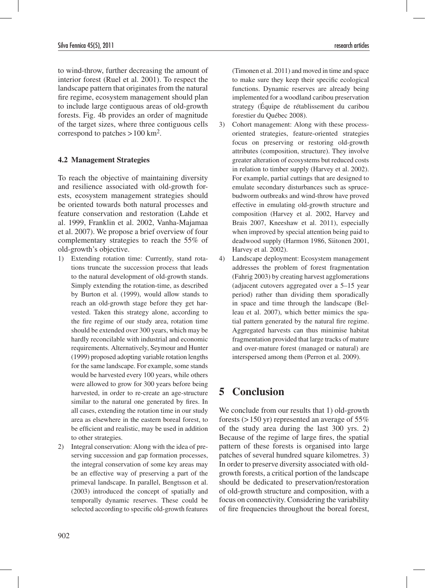to wind-throw, further decreasing the amount of interior forest (Ruel et al. 2001). To respect the landscape pattern that originates from the natural fire regime, ecosystem management should plan to include large contiguous areas of old-growth forests. Fig. 4b provides an order of magnitude of the target sizes, where three contiguous cells correspond to patches  $>100$  km<sup>2</sup>.

### **4.2 Management Strategies**

To reach the objective of maintaining diversity and resilience associated with old-growth forests, ecosystem management strategies should be oriented towards both natural processes and feature conservation and restoration (Lahde et al. 1999, Franklin et al. 2002, Vanha-Majamaa et al. 2007). We propose a brief overview of four complementary strategies to reach the 55% of old-growth's objective.

- 1) Extending rotation time: Currently, stand rotations truncate the succession process that leads to the natural development of old-growth stands. Simply extending the rotation-time, as described by Burton et al. (1999), would allow stands to reach an old-growth stage before they get harvested. Taken this strategy alone, according to the fire regime of our study area, rotation time should be extended over 300 years, which may be hardly reconcilable with industrial and economic requirements. Alternatively, Seymour and Hunter (1999) proposed adopting variable rotation lengths for the same landscape. For example, some stands would be harvested every 100 years, while others were allowed to grow for 300 years before being harvested, in order to re-create an age-structure similar to the natural one generated by fires. In all cases, extending the rotation time in our study area as elsewhere in the eastern boreal forest, to be efficient and realistic, may be used in addition to other strategies.
- 2) Integral conservation: Along with the idea of preserving succession and gap formation processes, the integral conservation of some key areas may be an effective way of preserving a part of the primeval landscape. In parallel, Bengtsson et al. (2003) introduced the concept of spatially and temporally dynamic reserves. These could be selected according to specific old-growth features

(Timonen et al. 2011) and moved in time and space to make sure they keep their specific ecological functions. Dynamic reserves are already being implemented for a woodland caribou preservation strategy (Équipe de rétablissement du caribou forestier du Québec 2008).

- 3) Cohort management: Along with these processoriented strategies, feature-oriented strategies focus on preserving or restoring old-growth attributes (composition, structure). They involve greater alteration of ecosystems but reduced costs in relation to timber supply (Harvey et al. 2002). For example, partial cuttings that are designed to emulate secondary disturbances such as sprucebudworm outbreaks and wind-throw have proved effective in emulating old-growth structure and composition (Harvey et al. 2002, Harvey and Brais 2007, Kneeshaw et al. 2011), especially when improved by special attention being paid to deadwood supply (Harmon 1986, Siitonen 2001, Harvey et al. 2002).
- 4) Landscape deployment: Ecosystem management addresses the problem of forest fragmentation (Fahrig 2003) by creating harvest agglomerations (adjacent cutovers aggregated over a 5–15 year period) rather than dividing them sporadically in space and time through the landscape (Belleau et al. 2007), which better mimics the spatial pattern generated by the natural fire regime. Aggregated harvests can thus minimise habitat fragmentation provided that large tracks of mature and over-mature forest (managed or natural) are interspersed among them (Perron et al. 2009).

# **5 Conclusion**

We conclude from our results that 1) old-growth forests ( $>150$  yr) represented an average of 55% of the study area during the last 300 yrs. 2) Because of the regime of large fires, the spatial pattern of these forests is organised into large patches of several hundred square kilometres. 3) In order to preserve diversity associated with oldgrowth forests, a critical portion of the landscape should be dedicated to preservation/restoration of old-growth structure and composition, with a focus on connectivity. Considering the variability of fire frequencies throughout the boreal forest,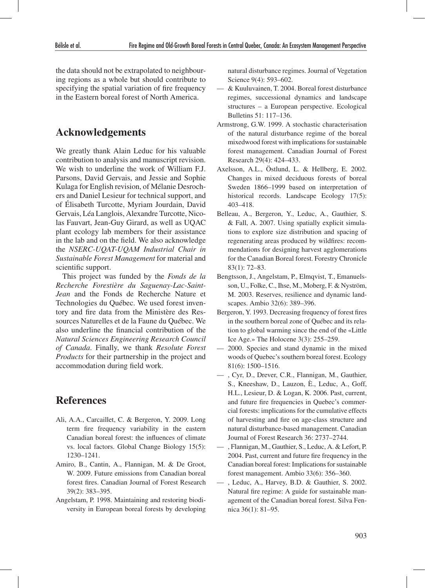the data should not be extrapolated to neighbouring regions as a whole but should contribute to specifying the spatial variation of fire frequency in the Eastern boreal forest of North America.

# **Acknowledgements**

We greatly thank Alain Leduc for his valuable contribution to analysis and manuscript revision. We wish to underline the work of William F.J. Parsons, David Gervais, and Jessie and Sophie Kulaga for English revision, of Mélanie Desrochers and Daniel Lesieur for technical support, and of Élisabeth Turcotte, Myriam Jourdain, David Gervais, Léa Langlois, Alexandre Turcotte, Nicolas Fauvart, Jean-Guy Girard, as well as UQAC plant ecology lab members for their assistance in the lab and on the field. We also acknowledge the *NSERC-UQAT-UQAM Industrial Chair in Sustainable Forest Management* for material and scientific support.

This project was funded by the *Fonds de la Recherche Forestière du Saguenay-Lac-Saint-Jean* and the Fonds de Recherche Nature et Technologies du Québec. We used forest inventory and fire data from the Ministère des Ressources Naturelles et de la Faune du Québec. We also underline the financial contribution of the *Natural Sciences Engineering Research Council of Canada*. Finally, we thank *Resolute Forest Products* for their partnership in the project and accommodation during field work.

# **References**

- Ali, A.A., Carcaillet, C. & Bergeron, Y. 2009. Long term fire frequency variability in the eastern Canadian boreal forest: the influences of climate vs. local factors. Global Change Biology 15(5): 1230–1241.
- Amiro, B., Cantin, A., Flannigan, M. & De Groot, W. 2009. Future emissions from Canadian boreal forest fires. Canadian Journal of Forest Research 39(2): 383–395.
- Angelstam, P. 1998. Maintaining and restoring biodiversity in European boreal forests by developing

natural disturbance regimes. Journal of Vegetation Science 9(4): 593–602.

- & Kuuluvainen, T. 2004. Boreal forest disturbance regimes, successional dynamics and landscape structures – a European perspective. Ecological Bulletins 51: 117–136.
- Armstrong, G.W. 1999. A stochastic characterisation of the natural disturbance regime of the boreal mixedwood forest with implications for sustainable forest management. Canadian Journal of Forest Research 29(4): 424–433.
- Axelsson, A.L., Östlund, L. & Hellberg, E. 2002. Changes in mixed deciduous forests of boreal Sweden 1866–1999 based on interpretation of historical records. Landscape Ecology 17(5): 403–418.
- Belleau, A., Bergeron, Y., Leduc, A., Gauthier, S. & Fall, A. 2007. Using spatially explicit simulations to explore size distribution and spacing of regenerating areas produced by wildfires: recommendations for designing harvest agglomerations for the Canadian Boreal forest. Forestry Chronicle 83(1): 72–83.
- Bengtsson, J., Angelstam, P., Elmqvist, T., Emanuelsson, U., Folke, C., Ihse, M., Moberg, F. & Nyström, M. 2003. Reserves, resilience and dynamic landscapes. Ambio 32(6): 389–396.
- Bergeron, Y. 1993. Decreasing frequency of forest fires in the southern boreal zone of Québec and its relation to global warming since the end of the «Little Ice Age.» The Holocene 3(3): 255–259.
- 2000. Species and stand dynamic in the mixed woods of Quebec's southern boreal forest. Ecology 81(6): 1500–1516.
- , Cyr, D., Drever, C.R., Flannigan, M., Gauthier, S., Kneeshaw, D., Lauzon, È., Leduc, A., Goff, H.L., Lesieur, D. & Logan, K. 2006. Past, current, and future fire frequencies in Quebec's commercial forests: implications for the cumulative effects of harvesting and fire on age-class structure and natural disturbance-based management. Canadian Journal of Forest Research 36: 2737–2744.
- , Flannigan, M., Gauthier, S., Leduc, A. & Lefort, P. 2004. Past, current and future fire frequency in the Canadian boreal forest: Implications for sustainable forest management. Ambio 33(6): 356–360.
- , Leduc, A., Harvey, B.D. & Gauthier, S. 2002. Natural fire regime: A guide for sustainable management of the Canadian boreal forest. Silva Fennica 36(1): 81–95.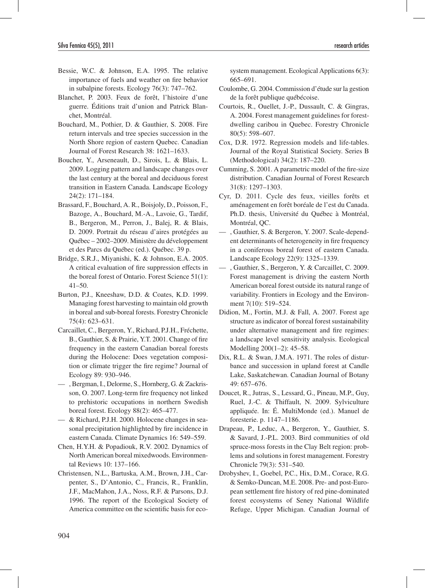- Bessie, W.C. & Johnson, E.A. 1995. The relative importance of fuels and weather on fire behavior in subalpine forests. Ecology 76(3): 747–762.
- Blanchet, P. 2003. Feux de forêt, l'histoire d'une guerre. Éditions trait d'union and Patrick Blanchet, Montréal.
- Bouchard, M., Pothier, D. & Gauthier, S. 2008. Fire return intervals and tree species succession in the North Shore region of eastern Quebec. Canadian Journal of Forest Research 38: 1621–1633.
- Boucher, Y., Arseneault, D., Sirois, L. & Blais, L. 2009. Logging pattern and landscape changes over the last century at the boreal and deciduous forest transition in Eastern Canada. Landscape Ecology 24(2): 171–184.
- Brassard, F., Bouchard, A. R., Boisjoly, D., Poisson, F., Bazoge, A., Bouchard, M.-A., Lavoie, G., Tardif, B., Bergeron, M., Perron, J., Balej, R. & Blais, D. 2009. Portrait du réseau d'aires protégées au Québec – 2002–2009. Ministère du développement et des Parcs du Québec (ed.). Québec. 39 p.
- Bridge, S.R.J., Miyanishi, K. & Johnson, E.A. 2005. A critical evaluation of fire suppression effects in the boreal forest of Ontario. Forest Science 51(1):  $41 - 50$ .
- Burton, P.J., Kneeshaw, D.D. & Coates, K.D. 1999. Managing forest harvesting to maintain old growth in boreal and sub-boreal forests. Forestry Chronicle 75(4): 623–631.
- Carcaillet, C., Bergeron, Y., Richard, P.J.H., Fréchette, B., Gauthier, S. & Prairie, Y.T. 2001. Change of fire frequency in the eastern Canadian boreal forests during the Holocene: Does vegetation composition or climate trigger the fire regime? Journal of Ecology 89: 930–946.
- , Bergman, I., Delorme, S., Hornberg, G. & Zackrisson, O. 2007. Long-term fire frequency not linked to prehistoric occupations in northern Swedish boreal forest. Ecology 88(2): 465–477.
- & Richard, P.J.H. 2000. Holocene changes in seasonal precipitation highlighted by fire incidence in eastern Canada. Climate Dynamics 16: 549–559.
- Chen, H.Y.H. & Popadiouk, R.V. 2002. Dynamics of North American boreal mixedwoods. Environmental Reviews 10: 137–166.
- Christensen, N.L., Bartuska, A.M., Brown, J.H., Carpenter, S., D'Antonio, C., Francis, R., Franklin, J.F., MacMahon, J.A., Noss, R.F. & Parsons, D.J. 1996. The report of the Ecological Society of America committee on the scientific basis for eco-

system management. Ecological Applications 6(3): 665–691.

- Coulombe, G. 2004. Commission d'étude sur la gestion de la forêt publique québécoise.
- Courtois, R., Ouellet, J.-P., Dussault, C. & Gingras, A. 2004. Forest management guidelines for forestdwelling caribou in Quebec. Forestry Chronicle 80(5): 598–607.
- Cox, D.R. 1972. Regression models and life-tables. Journal of the Royal Statistical Society. Series B (Methodological) 34(2): 187–220.
- Cumming, S. 2001. A parametric model of the fire-size distribution. Canadian Journal of Forest Research 31(8): 1297–1303.
- Cyr, D. 2011. Cycle des feux, vieilles forêts et aménagement en forêt boréale de l'est du Canada. Ph.D. thesis, Université du Québec à Montréal, Montréal, QC.
- , Gauthier, S. & Bergeron, Y. 2007. Scale-dependent determinants of heterogeneity in fire frequency in a coniferous boreal forest of eastern Canada. Landscape Ecology 22(9): 1325–1339.
- , Gauthier, S., Bergeron, Y. & Carcaillet, C. 2009. Forest management is driving the eastern North American boreal forest outside its natural range of variability. Frontiers in Ecology and the Environment 7(10): 519–524.
- Didion, M., Fortin, M.J. & Fall, A. 2007. Forest age structure as indicator of boreal forest sustainability under alternative management and fire regimes: a landscape level sensitivity analysis. Ecological Modelling 200(1–2): 45–58.
- Dix, R.L. & Swan, J.M.A. 1971. The roles of disturbance and succession in upland forest at Candle Lake, Saskatchewan. Canadian Journal of Botany 49: 657–676.
- Doucet, R., Jutras, S., Lessard, G., Pineau, M.P., Guy, Ruel, J.-C. & Thiffault, N. 2009. Sylviculture appliquée. In: É. MultiMonde (ed.). Manuel de foresterie. p. 1147–1186.
- Drapeau, P., Leduc, A., Bergeron, Y., Gauthier, S. & Savard, J.-P.L. 2003. Bird communities of old spruce-moss forests in the Clay Belt region: problems and solutions in forest management. Forestry Chronicle 79(3): 531–540.
- Drobyshev, I., Goebel, P.C., Hix, D.M., Corace, R.G. & Semko-Duncan, M.E. 2008. Pre- and post-European settlement fire history of red pine-dominated forest ecosystems of Seney National Wildlife Refuge, Upper Michigan. Canadian Journal of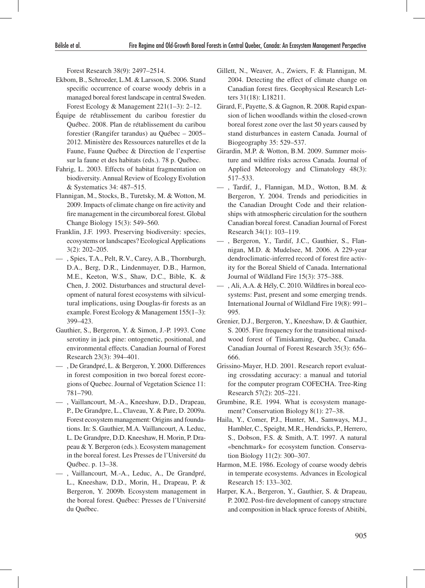Forest Research 38(9): 2497–2514.

- Ekbom, B., Schroeder, L.M. & Larsson, S. 2006. Stand specific occurrence of coarse woody debris in a managed boreal forest landscape in central Sweden. Forest Ecology & Management 221(1–3): 2–12.
- Équipe de rétablissement du caribou forestier du Québec. 2008. Plan de rétablissement du caribou forestier (Rangifer tarandus) au Québec – 2005– 2012. Ministère des Ressources naturelles et de la Faune, Faune Québec & Direction de l'expertise sur la faune et des habitats (eds.). 78 p. Québec.
- Fahrig, L. 2003. Effects of habitat fragmentation on biodiversity. Annual Review of Ecology Evolution & Systematics 34: 487–515.
- Flannigan, M., Stocks, B., Turetsky, M. & Wotton, M. 2009. Impacts of climate change on fire activity and fire management in the circumboreal forest. Global Change Biology 15(3): 549–560.
- Franklin, J.F. 1993. Preserving biodiversity: species, ecosystems or landscapes? Ecological Applications 3(2): 202–205.
- , Spies, T.A., Pelt, R.V., Carey, A.B., Thornburgh, D.A., Berg, D.R., Lindenmayer, D.B., Harmon, M.E., Keeton, W.S., Shaw, D.C., Bible, K. & Chen, J. 2002. Disturbances and structural development of natural forest ecosystems with silvicultural implications, using Douglas-fir forests as an example. Forest Ecology & Management 155(1–3): 399–423.
- Gauthier, S., Bergeron, Y. & Simon, J.-P. 1993. Cone serotiny in jack pine: ontogenetic, positional, and environmental effects. Canadian Journal of Forest Research 23(3): 394–401.
- , De Grandpré, L. & Bergeron, Y. 2000. Differences in forest composition in two boreal forest ecoregions of Quebec. Journal of Vegetation Science 11: 781–790.
- , Vaillancourt, M.-A., Kneeshaw, D.D., Drapeau, P., De Grandpre, L., Claveau, Y. & Pare, D. 2009a. Forest ecosystem management: Origins and foundations. In: S. Gauthier, M.A. Vaillancourt, A. Leduc, L. De Grandpre, D.D. Kneeshaw, H. Morin, P. Drapeau & Y. Bergeron (eds.). Ecosystem management in the boreal forest. Les Presses de l'Université du Québec. p. 13–38.
- , Vaillancourt, M.-A., Leduc, A., De Grandpré, L., Kneeshaw, D.D., Morin, H., Drapeau, P. & Bergeron, Y. 2009b. Ecosystem management in the boreal forest. Québec: Presses de l'Université du Québec.
- Gillett, N., Weaver, A., Zwiers, F. & Flannigan, M. 2004. Detecting the effect of climate change on Canadian forest fires. Geophysical Research Letters 31(18): L18211.
- Girard, F., Payette, S. & Gagnon, R. 2008. Rapid expansion of lichen woodlands within the closed-crown boreal forest zone over the last 50 years caused by stand disturbances in eastern Canada. Journal of Biogeography 35: 529–537.
- Girardin, M.P. & Wotton, B.M. 2009. Summer moisture and wildfire risks across Canada. Journal of Applied Meteorology and Climatology 48(3): 517–533.
- , Tardif, J., Flannigan, M.D., Wotton, B.M. & Bergeron, Y. 2004. Trends and periodicities in the Canadian Drought Code and their relationships with atmospheric circulation for the southern Canadian boreal forest. Canadian Journal of Forest Research 34(1): 103–119.
- , Bergeron, Y., Tardif, J.C., Gauthier, S., Flannigan, M.D. & Mudelsee, M. 2006. A 229-year dendroclimatic-inferred record of forest fire activity for the Boreal Shield of Canada. International Journal of Wildland Fire 15(3): 375–388.
- , Ali, A.A. & Hély, C. 2010. Wildfires in boreal ecosystems: Past, present and some emerging trends. International Journal of Wildland Fire 19(8): 991– 995.
- Grenier, D.J., Bergeron, Y., Kneeshaw, D. & Gauthier, S. 2005. Fire frequency for the transitional mixedwood forest of Timiskaming, Quebec, Canada. Canadian Journal of Forest Research 35(3): 656– 666.
- Grissino-Mayer, H.D. 2001. Research report evaluating crossdating accuracy: a manual and tutorial for the computer program COFECHA. Tree-Ring Research 57(2): 205–221.
- Grumbine, R.E. 1994. What is ecosystem management? Conservation Biology 8(1): 27–38.
- Haila, Y., Comer, P.J., Hunter, M., Samways, M.J., Hambler, C., Speight, M.R., Hendricks, P., Herrero, S., Dobson, F.S. & Smith, A.T. 1997. A natural «benchmark» for ecosystem function. Conservation Biology 11(2): 300–307.
- Harmon, M.E. 1986. Ecology of coarse woody debris in temperate ecosystems. Advances in Ecological Research 15: 133–302.
- Harper, K.A., Bergeron, Y., Gauthier, S. & Drapeau, P. 2002. Post-fire development of canopy structure and composition in black spruce forests of Abitibi,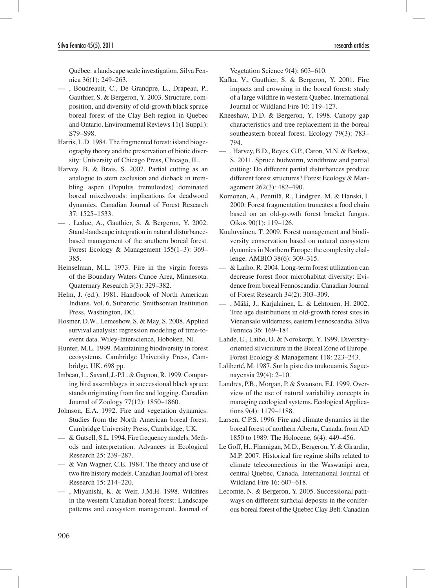Québec: a landscape scale investigation. Silva Fennica 36(1): 249–263.

— , Boudreault, C., De Grandpre, L., Drapeau, P., Gauthier, S. & Bergeron, Y. 2003. Structure, composition, and diversity of old-growth black spruce boreal forest of the Clay Belt region in Quebec and Ontario. Environmental Reviews 11(1 Suppl.): S79–S98.

- Harris, L.D. 1984. The fragmented forest: island biogeography theory and the preservation of biotic diversity: University of Chicago Press, Chicago, IL.
- Harvey, B. & Brais, S. 2007. Partial cutting as an analogue to stem exclusion and dieback in trembling aspen (Populus tremuloides) dominated boreal mixedwoods: implications for deadwood dynamics. Canadian Journal of Forest Research 37: 1525–1533.
- , Leduc, A., Gauthier, S. & Bergeron, Y. 2002. Stand-landscape integration in natural disturbancebased management of the southern boreal forest. Forest Ecology & Management 155(1–3): 369– 385.
- Heinselman, M.L. 1973. Fire in the virgin forests of the Boundary Waters Canoe Area, Minnesota. Quaternary Research 3(3): 329–382.
- Helm, J. (ed.). 1981. Handbook of North American Indians. Vol. 6, Subarctic. Smithsonian Institution Press, Washington, DC.
- Hosmer, D.W., Lemeshow, S. & May, S. 2008. Applied survival analysis: regression modeling of time-toevent data. Wiley-Interscience, Hoboken, NJ.
- Hunter, M.L. 1999. Maintaining biodiversity in forest ecosystems. Cambridge University Press, Cambridge, UK. 698 pp.
- Imbeau, L., Savard, J.-P.L. & Gagnon, R. 1999. Comparing bird assemblages in successional black spruce stands originating from fire and logging. Canadian Journal of Zoology 77(12): 1850–1860.
- Johnson, E.A. 1992. Fire and vegetation dynamics: Studies from the North American boreal forest. Cambridge University Press, Cambridge, UK.
- & Gutsell, S.L. 1994. Fire frequency models, Methods and interpretation. Advances in Ecological Research 25: 239–287.
- & Van Wagner, C.E. 1984. The theory and use of two fire history models. Canadian Journal of Forest Research 15: 214–220.
- , Miyanishi, K. & Weir, J.M.H. 1998. Wildfires in the western Canadian boreal forest: Landscape patterns and ecosystem management. Journal of

Vegetation Science 9(4): 603–610.

- Kafka, V., Gauthier, S. & Bergeron, Y. 2001. Fire impacts and crowning in the boreal forest: study of a large wildfire in western Quebec. International Journal of Wildland Fire 10: 119–127.
- Kneeshaw, D.D. & Bergeron, Y. 1998. Canopy gap characteristics and tree replacement in the boreal southeastern boreal forest. Ecology 79(3): 783– 794.
- , Harvey, B.D., Reyes, G.P., Caron, M.N. & Barlow, S. 2011. Spruce budworm, windthrow and partial cutting: Do different partial disturbances produce different forest structures? Forest Ecology & Management 262(3): 482–490.
- Komonen, A., Penttilä, R., Lindgren, M. & Hanski, I. 2000. Forest fragmentation truncates a food chain based on an old-growth forest bracket fungus. Oikos 90(1): 119–126.
- Kuuluvainen, T. 2009. Forest management and biodiversity conservation based on natural ecosystem dynamics in Northern Europe: the complexity challenge. AMBIO 38(6): 309–315.
- & Laiho, R. 2004. Long-term forest utilization can decrease forest floor microhabitat diversity: Evidence from boreal Fennoscandia. Canadian Journal of Forest Research 34(2): 303–309.
- , Mäki, J., Karjalainen, L. & Lehtonen, H. 2002. Tree age distributions in old-growth forest sites in Vienansalo wilderness, eastern Fennoscandia. Silva Fennica 36: 169–184.
- Lahde, E., Laiho, O. & Norokorpi, Y. 1999. Diversityoriented silviculture in the Boreal Zone of Europe. Forest Ecology & Management 118: 223–243.
- Laliberté, M. 1987. Sur la piste des toukouamis. Saguenayensia 29(4): 2–10.
- Landres, P.B., Morgan, P. & Swanson, F.J. 1999. Overview of the use of natural variability concepts in managing ecological systems. Ecological Applications 9(4): 1179–1188.
- Larsen, C.P.S. 1996. Fire and climate dynamics in the boreal forest of northern Alberta, Canada, from AD 1850 to 1989. The Holocene, 6(4): 449–456.
- Le Goff, H., Flannigan, M.D., Bergeron, Y. & Girardin, M.P. 2007. Historical fire regime shifts related to climate teleconnections in the Waswanipi area, central Quebec, Canada. International Journal of Wildland Fire 16: 607–618.
- Lecomte, N. & Bergeron, Y. 2005. Successional pathways on different surficial deposits in the coniferous boreal forest of the Quebec Clay Belt. Canadian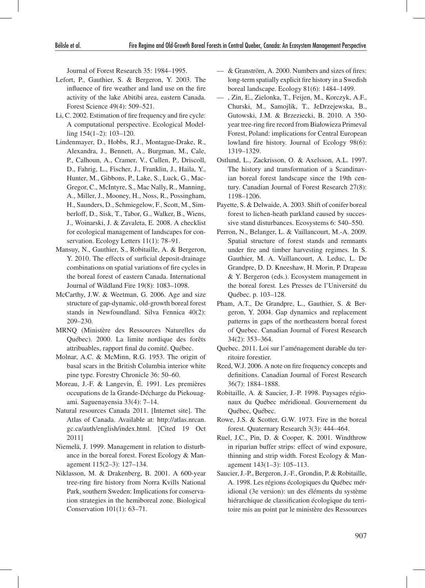Journal of Forest Research 35: 1984–1995.

- Lefort, P., Gauthier, S. & Bergeron, Y. 2003. The influence of fire weather and land use on the fire activity of the lake Abitibi area, eastern Canada. Forest Science 49(4): 509–521.
- Li, C. 2002. Estimation of fire frequency and fire cycle: A computational perspective. Ecological Modelling 154(1–2): 103–120.
- Lindenmayer, D., Hobbs, R.J., Montague-Drake, R., Alexandra, J., Bennett, A., Burgman, M., Cale, P., Calhoun, A., Cramer, V., Cullen, P., Driscoll, D., Fahrig, L., Fischer, J., Franklin, J., Haila, Y., Hunter, M., Gibbons, P., Lake, S., Luck, G., Mac-Gregor, C., McIntyre, S., Mac Nally, R., Manning, A., Miller, J., Mooney, H., Noss, R., Possingham, H., Saunders, D., Schmiegelow, F., Scott, M., Simberloff, D., Sisk, T., Tabor, G., Walker, B., Wiens, J., Woinarski, J. & Zavaleta, E. 2008. A checklist for ecological management of landscapes for conservation. Ecology Letters 11(1): 78–91.
- Mansuy, N., Gauthier, S., Robitaille, A. & Bergeron, Y. 2010. The effects of surficial deposit-drainage combinations on spatial variations of fire cycles in the boreal forest of eastern Canada. International Journal of Wildland Fire 19(8): 1083–1098.
- McCarthy, J.W. & Weetman, G. 2006. Age and size structure of gap-dynamic, old-growth boreal forest stands in Newfoundland. Silva Fennica 40(2): 209–230.
- MRNQ (Ministère des Ressources Naturelles du Québec). 2000. La limite nordique des forêts attribuables, rapport final du comité. Québec.
- Molnar, A.C. & McMinn, R.G. 1953. The origin of basal scars in the British Columbia interior white pine type. Forestry Chronicle 36: 50–60.
- Moreau, J.-F. & Langevin, É. 1991. Les premières occupations de la Grande-Décharge du Piekouagami. Saguenayensia 33(4): 7–14.
- Natural resources Canada 2011. [Internet site]. The Atlas of Canada. Available at: http://atlas.nrcan. gc.ca/auth/english/index.html. [Cited 19 Oct 2011]
- Niemelä, J. 1999. Management in relation to disturbance in the boreal forest. Forest Ecology & Management 115(2–3): 127–134.
- Niklasson, M. & Drakenberg, B. 2001. A 600-year tree-ring fire history from Norra Kvills National Park, southern Sweden: Implications for conservation strategies in the hemiboreal zone. Biological Conservation 101(1): 63–71.
- & Granström, A. 2000. Numbers and sizes of fires: long-term spatially explicit fire history in a Swedish boreal landscape. Ecology 81(6): 1484–1499.
- , Zin, E., Zielonka, T., Feijen, M., Korczyk, A.F., Churski, M., Samojlik, T., JeDrzejewska, B., Gutowski, J.M. & Brzeziecki, B. 2010. A 350 year tree-ring fire record from Białowieza Primeval Forest, Poland: implications for Central European lowland fire history. Journal of Ecology 98(6): 1319–1329.
- Ostlund, L., Zackrisson, O. & Axelsson, A.L. 1997. The history and transformation of a Scandinavian boreal forest landscape since the 19th century. Canadian Journal of Forest Research 27(8): 1198–1206.
- Payette, S. & Delwaide, A. 2003. Shift of conifer boreal forest to lichen-heath parkland caused by successive stand disturbances. Ecosystems 6: 540–550.
- Perron, N., Belanger, L. & Vaillancourt, M.-A. 2009. Spatial structure of forest stands and remnants under fire and timber harvesting regimes. In S. Gauthier, M. A. Vaillancourt, A. Leduc, L. De Grandpre, D. D. Kneeshaw, H. Morin, P. Drapeau & Y. Bergeron (eds.). Ecosystem management in the boreal forest. Les Presses de l'Université du Québec. p. 103–128.
- Pham, A.T., De Grandpre, L., Gauthier, S. & Bergeron, Y. 2004. Gap dynamics and replacement patterns in gaps of the northeastern boreal forest of Quebec. Canadian Journal of Forest Research 34(2): 353–364.
- Quebec. 2011. Loi sur l'aménagement durable du territoire forestier.
- Reed, W.J. 2006. A note on fire frequency concepts and definitions. Canadian Journal of Forest Research 36(7): 1884–1888.
- Robitaille, A. & Saucier, J.-P. 1998. Paysages régionaux du Québec méridional. Gouvernement du Québec, Québec.
- Rowe, J.S. & Scotter, G.W. 1973. Fire in the boreal forest. Quaternary Research 3(3): 444–464.
- Ruel, J.C., Pin, D. & Cooper, K. 2001. Windthrow in riparian buffer strips: effect of wind exposure, thinning and strip width. Forest Ecology & Management 143(1–3): 105–113.
- Saucier, J.-P., Bergeron, J.-F., Grondin, P. & Robitaille, A. 1998. Les régions écologiques du Québec méridional (3e version): un des éléments du système hiérarchique de classification écologique du territoire mis au point par le ministère des Ressources